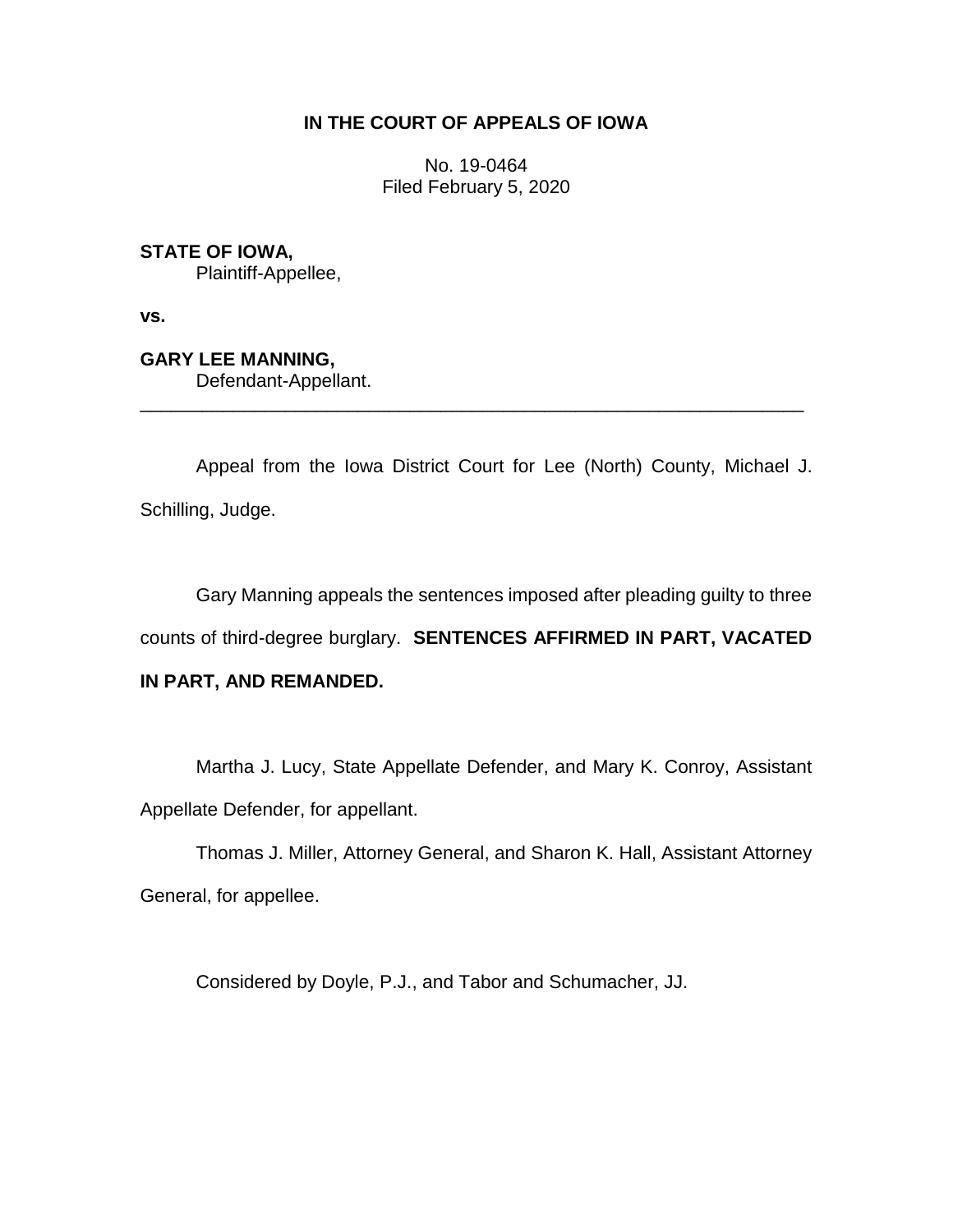# **IN THE COURT OF APPEALS OF IOWA**

No. 19-0464 Filed February 5, 2020

**STATE OF IOWA,**

Plaintiff-Appellee,

**vs.**

**GARY LEE MANNING,**

Defendant-Appellant.

Appeal from the Iowa District Court for Lee (North) County, Michael J. Schilling, Judge.

\_\_\_\_\_\_\_\_\_\_\_\_\_\_\_\_\_\_\_\_\_\_\_\_\_\_\_\_\_\_\_\_\_\_\_\_\_\_\_\_\_\_\_\_\_\_\_\_\_\_\_\_\_\_\_\_\_\_\_\_\_\_\_\_

Gary Manning appeals the sentences imposed after pleading guilty to three

counts of third-degree burglary. **SENTENCES AFFIRMED IN PART, VACATED** 

## **IN PART, AND REMANDED.**

Martha J. Lucy, State Appellate Defender, and Mary K. Conroy, Assistant Appellate Defender, for appellant.

Thomas J. Miller, Attorney General, and Sharon K. Hall, Assistant Attorney General, for appellee.

Considered by Doyle, P.J., and Tabor and Schumacher, JJ.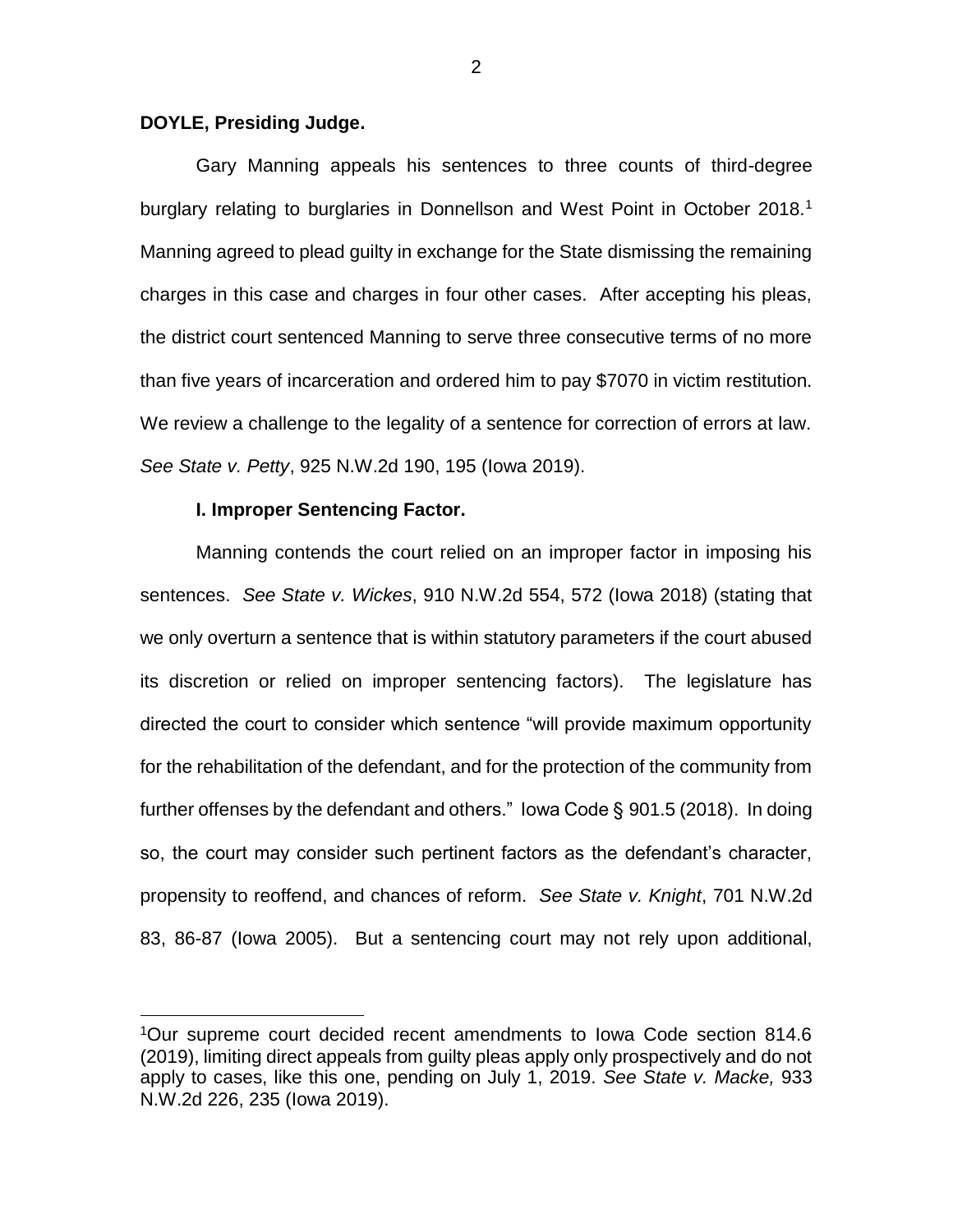### **DOYLE, Presiding Judge.**

Gary Manning appeals his sentences to three counts of third-degree burglary relating to burglaries in Donnellson and West Point in October 2018.<sup>1</sup> Manning agreed to plead guilty in exchange for the State dismissing the remaining charges in this case and charges in four other cases. After accepting his pleas, the district court sentenced Manning to serve three consecutive terms of no more than five years of incarceration and ordered him to pay \$7070 in victim restitution. We review a challenge to the legality of a sentence for correction of errors at law. *See State v. Petty*, 925 N.W.2d 190, 195 (Iowa 2019).

### **I. Improper Sentencing Factor.**

 $\overline{a}$ 

Manning contends the court relied on an improper factor in imposing his sentences. *See State v. Wickes*, 910 N.W.2d 554, 572 (Iowa 2018) (stating that we only overturn a sentence that is within statutory parameters if the court abused its discretion or relied on improper sentencing factors). The legislature has directed the court to consider which sentence "will provide maximum opportunity for the rehabilitation of the defendant, and for the protection of the community from further offenses by the defendant and others." Iowa Code § 901.5 (2018). In doing so, the court may consider such pertinent factors as the defendant's character, propensity to reoffend, and chances of reform. *See State v. Knight*, 701 N.W.2d 83, 86-87 (Iowa 2005). But a sentencing court may not rely upon additional,

2

<sup>1</sup>Our supreme court decided recent amendments to Iowa Code section 814.6 (2019), limiting direct appeals from guilty pleas apply only prospectively and do not apply to cases, like this one, pending on July 1, 2019. *See State v. Macke,* 933 N.W.2d 226, 235 (Iowa 2019).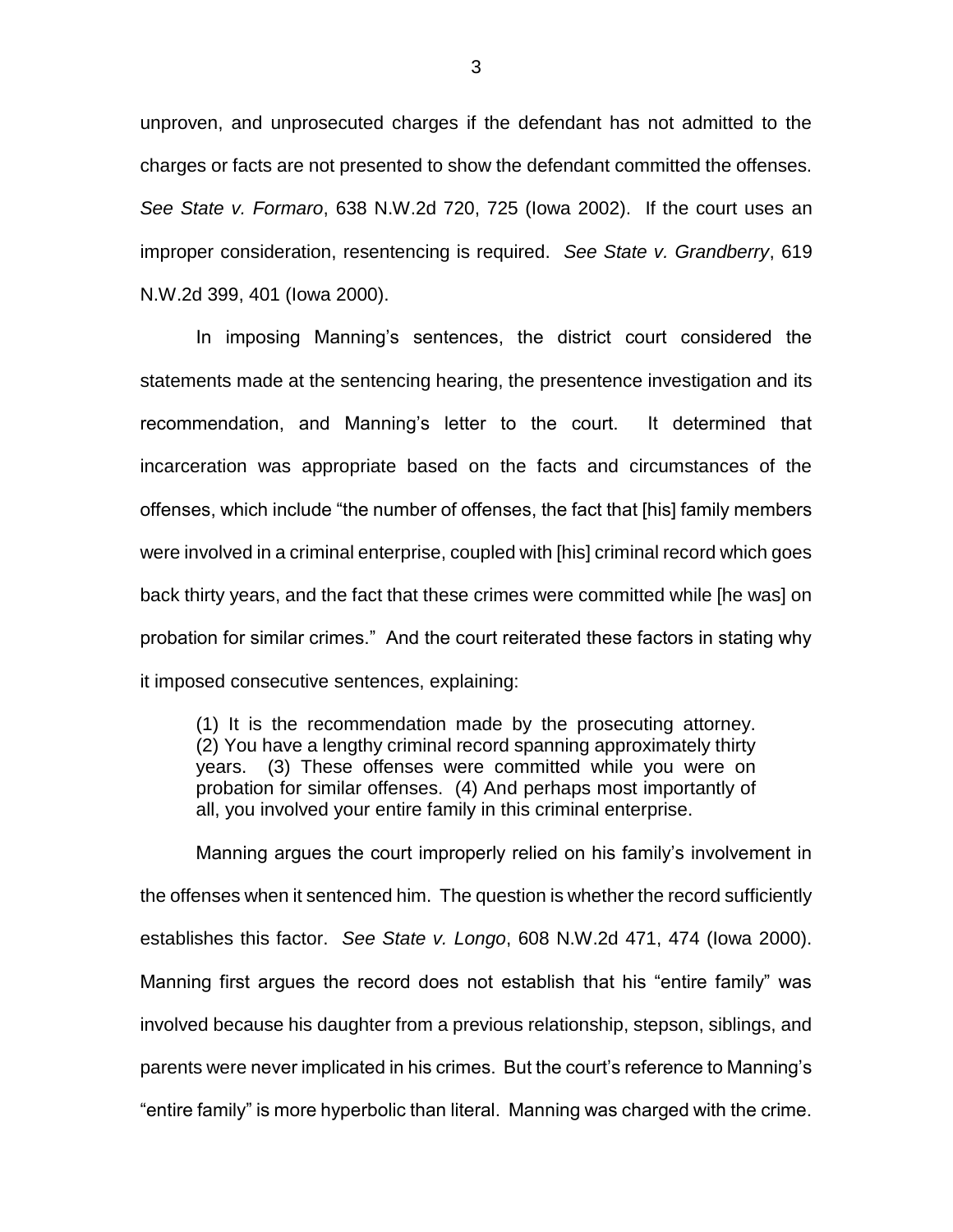unproven, and unprosecuted charges if the defendant has not admitted to the charges or facts are not presented to show the defendant committed the offenses. *See State v. Formaro*, 638 N.W.2d 720, 725 (Iowa 2002). If the court uses an improper consideration, resentencing is required. *See State v. Grandberry*, 619 N.W.2d 399, 401 (Iowa 2000).

In imposing Manning's sentences, the district court considered the statements made at the sentencing hearing, the presentence investigation and its recommendation, and Manning's letter to the court. It determined that incarceration was appropriate based on the facts and circumstances of the offenses, which include "the number of offenses, the fact that [his] family members were involved in a criminal enterprise, coupled with [his] criminal record which goes back thirty years, and the fact that these crimes were committed while [he was] on probation for similar crimes." And the court reiterated these factors in stating why it imposed consecutive sentences, explaining:

(1) It is the recommendation made by the prosecuting attorney. (2) You have a lengthy criminal record spanning approximately thirty years. (3) These offenses were committed while you were on probation for similar offenses. (4) And perhaps most importantly of all, you involved your entire family in this criminal enterprise.

Manning argues the court improperly relied on his family's involvement in the offenses when it sentenced him. The question is whether the record sufficiently establishes this factor. *See State v. Longo*, 608 N.W.2d 471, 474 (Iowa 2000). Manning first argues the record does not establish that his "entire family" was involved because his daughter from a previous relationship, stepson, siblings, and parents were never implicated in his crimes. But the court's reference to Manning's "entire family" is more hyperbolic than literal. Manning was charged with the crime.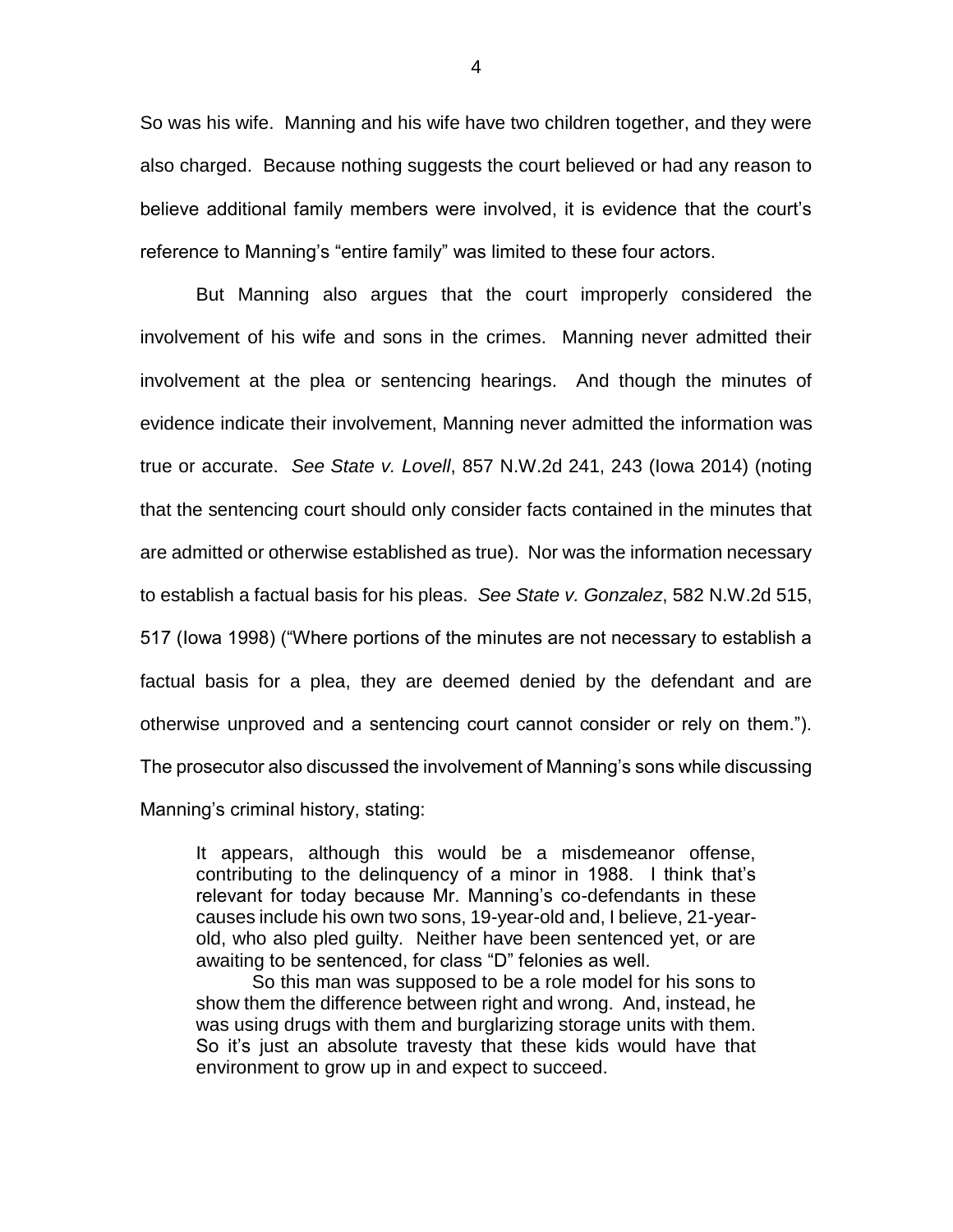So was his wife. Manning and his wife have two children together, and they were also charged. Because nothing suggests the court believed or had any reason to believe additional family members were involved, it is evidence that the court's reference to Manning's "entire family" was limited to these four actors.

But Manning also argues that the court improperly considered the involvement of his wife and sons in the crimes. Manning never admitted their involvement at the plea or sentencing hearings. And though the minutes of evidence indicate their involvement, Manning never admitted the information was true or accurate. *See State v. Lovell*, 857 N.W.2d 241, 243 (Iowa 2014) (noting that the sentencing court should only consider facts contained in the minutes that are admitted or otherwise established as true). Nor was the information necessary to establish a factual basis for his pleas. *See State v. Gonzalez*, 582 N.W.2d 515, 517 (Iowa 1998) ("Where portions of the minutes are not necessary to establish a factual basis for a plea, they are deemed denied by the defendant and are otherwise unproved and a sentencing court cannot consider or rely on them."). The prosecutor also discussed the involvement of Manning's sons while discussing Manning's criminal history, stating:

It appears, although this would be a misdemeanor offense, contributing to the delinquency of a minor in 1988. I think that's relevant for today because Mr. Manning's co-defendants in these causes include his own two sons, 19-year-old and, I believe, 21-yearold, who also pled guilty. Neither have been sentenced yet, or are awaiting to be sentenced, for class "D" felonies as well.

So this man was supposed to be a role model for his sons to show them the difference between right and wrong. And, instead, he was using drugs with them and burglarizing storage units with them. So it's just an absolute travesty that these kids would have that environment to grow up in and expect to succeed.

4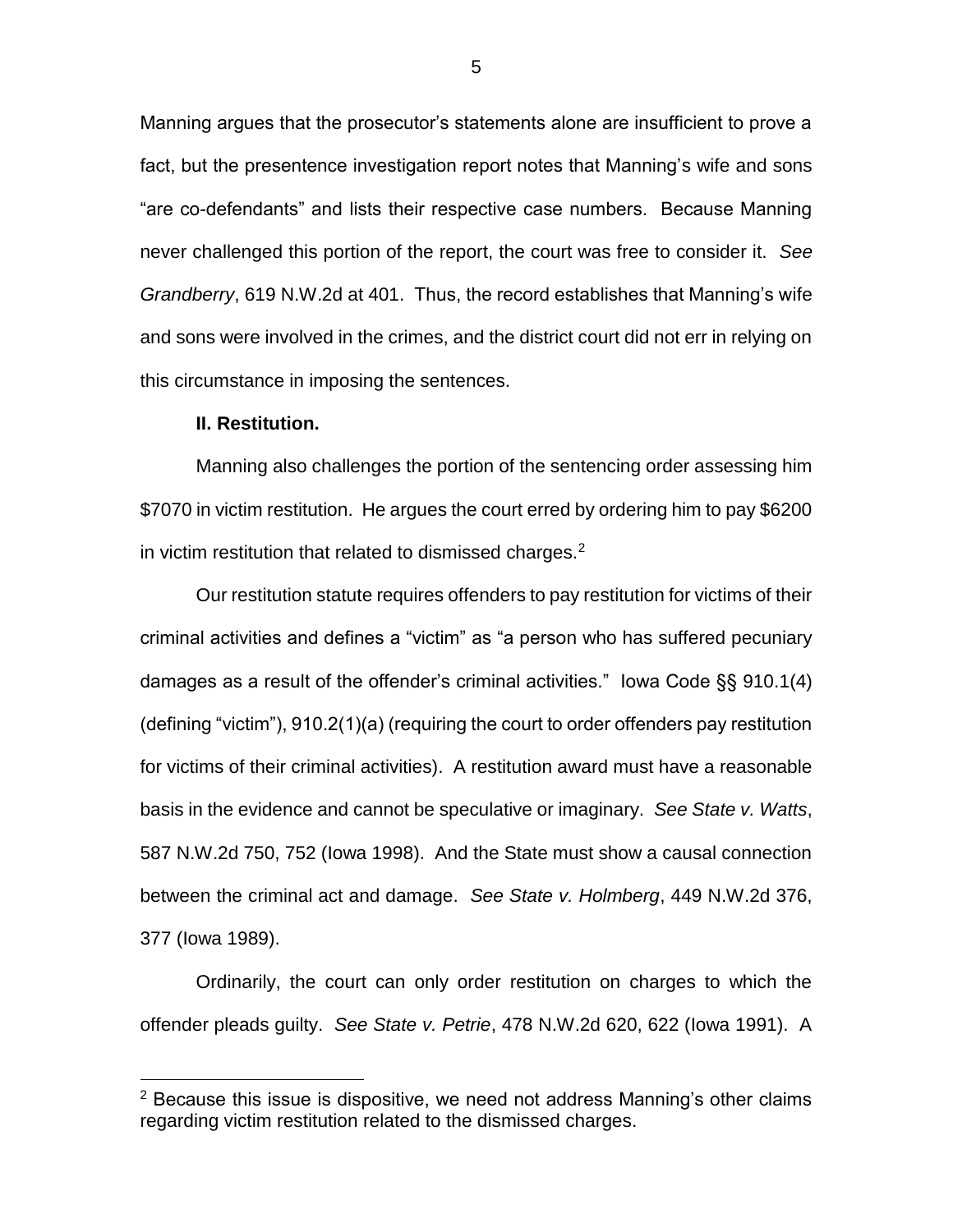Manning argues that the prosecutor's statements alone are insufficient to prove a fact, but the presentence investigation report notes that Manning's wife and sons "are co-defendants" and lists their respective case numbers. Because Manning never challenged this portion of the report, the court was free to consider it. *See Grandberry*, 619 N.W.2d at 401.Thus, the record establishes that Manning's wife and sons were involved in the crimes, and the district court did not err in relying on this circumstance in imposing the sentences.

#### **II. Restitution.**

 $\overline{a}$ 

Manning also challenges the portion of the sentencing order assessing him \$7070 in victim restitution. He argues the court erred by ordering him to pay \$6200 in victim restitution that related to dismissed charges. $2$ 

Our restitution statute requires offenders to pay restitution for victims of their criminal activities and defines a "victim" as "a person who has suffered pecuniary damages as a result of the offender's criminal activities." Iowa Code §§ 910.1(4) (defining "victim"), 910.2(1)(a) (requiring the court to order offenders pay restitution for victims of their criminal activities). A restitution award must have a reasonable basis in the evidence and cannot be speculative or imaginary. *See State v. Watts*, 587 N.W.2d 750, 752 (Iowa 1998). And the State must show a causal connection between the criminal act and damage. *See State v. Holmberg*, 449 N.W.2d 376, 377 (Iowa 1989).

Ordinarily, the court can only order restitution on charges to which the offender pleads guilty. *See State v. Petrie*, 478 N.W.2d 620, 622 (Iowa 1991). A

 $2$  Because this issue is dispositive, we need not address Manning's other claims regarding victim restitution related to the dismissed charges.